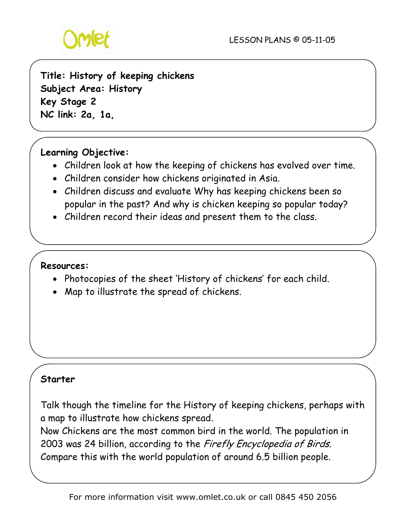

**Title: History of keeping chickens Subject Area: History Key Stage 2 NC link: 2a, 1a,** 

# **Learning Objective:**

- Children look at how the keeping of chickens has evolved over time.
- Children consider how chickens originated in Asia.
- Children discuss and evaluate Why has keeping chickens been so popular in the past? And why is chicken keeping so popular today?
- Children record their ideas and present them to the class.

#### **Resources:**

- Photocopies of the sheet 'History of chickens' for each child.
- Map to illustrate the spread of chickens.

# **Starter**

Talk though the timeline for the History of keeping chickens, perhaps with a map to illustrate how chickens spread.

Now Chickens are the most common bird in the world. The population in 2003 was 24 billion, according to the Firefly Encyclopedia of Birds. Compare this with the world population of around 6.5 billion people.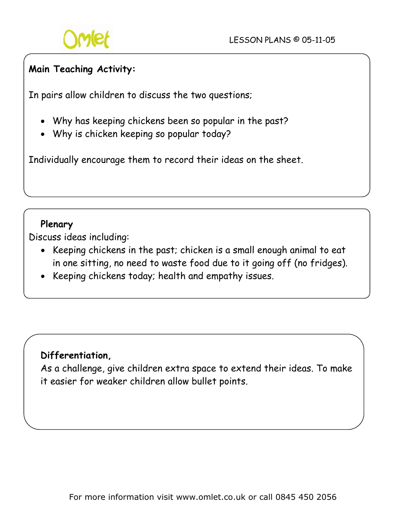

### **Main Teaching Activity:**

In pairs allow children to discuss the two questions;

- Why has keeping chickens been so popular in the past?
- Why is chicken keeping so popular today?

Individually encourage them to record their ideas on the sheet.

#### **Plenary**

Discuss ideas including:

- Keeping chickens in the past; chicken is a small enough animal to eat in one sitting, no need to waste food due to it going off (no fridges).
- Keeping chickens today; health and empathy issues.

#### **Differentiation,**

As a challenge, give children extra space to extend their ideas. To make it easier for weaker children allow bullet points.